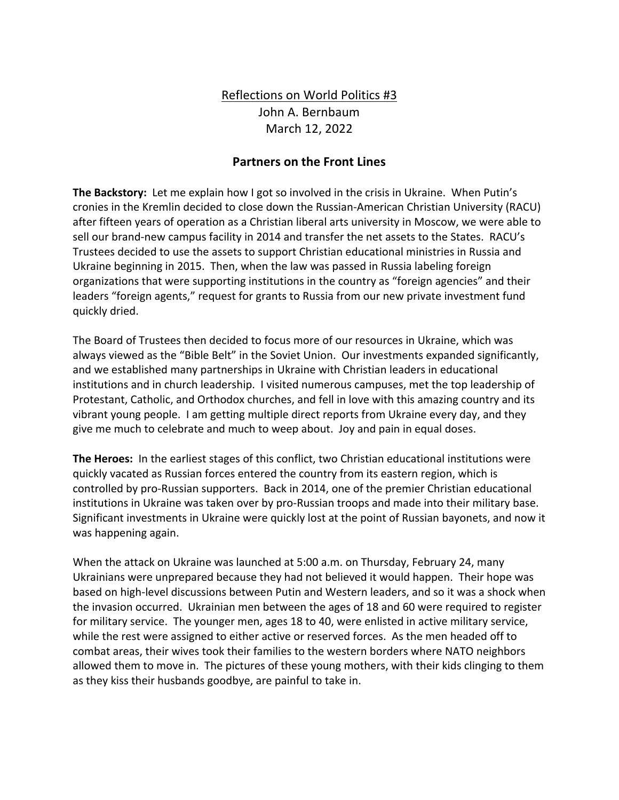## Reflections on World Politics #3 John A. Bernbaum March 12, 2022

## **Partners on the Front Lines**

**The Backstory:** Let me explain how I got so involved in the crisis in Ukraine. When Putin's cronies in the Kremlin decided to close down the Russian-American Christian University (RACU) after fifteen years of operation as a Christian liberal arts university in Moscow, we were able to sell our brand-new campus facility in 2014 and transfer the net assets to the States. RACU's Trustees decided to use the assets to support Christian educational ministries in Russia and Ukraine beginning in 2015. Then, when the law was passed in Russia labeling foreign organizations that were supporting institutions in the country as "foreign agencies" and their leaders "foreign agents," request for grants to Russia from our new private investment fund quickly dried.

The Board of Trustees then decided to focus more of our resources in Ukraine, which was always viewed as the "Bible Belt" in the Soviet Union. Our investments expanded significantly, and we established many partnerships in Ukraine with Christian leaders in educational institutions and in church leadership. I visited numerous campuses, met the top leadership of Protestant, Catholic, and Orthodox churches, and fell in love with this amazing country and its vibrant young people. I am getting multiple direct reports from Ukraine every day, and they give me much to celebrate and much to weep about. Joy and pain in equal doses.

**The Heroes:** In the earliest stages of this conflict, two Christian educational institutions were quickly vacated as Russian forces entered the country from its eastern region, which is controlled by pro-Russian supporters. Back in 2014, one of the premier Christian educational institutions in Ukraine was taken over by pro-Russian troops and made into their military base. Significant investments in Ukraine were quickly lost at the point of Russian bayonets, and now it was happening again.

When the attack on Ukraine was launched at 5:00 a.m. on Thursday, February 24, many Ukrainians were unprepared because they had not believed it would happen. Their hope was based on high-level discussions between Putin and Western leaders, and so it was a shock when the invasion occurred. Ukrainian men between the ages of 18 and 60 were required to register for military service. The younger men, ages 18 to 40, were enlisted in active military service, while the rest were assigned to either active or reserved forces. As the men headed off to combat areas, their wives took their families to the western borders where NATO neighbors allowed them to move in. The pictures of these young mothers, with their kids clinging to them as they kiss their husbands goodbye, are painful to take in.